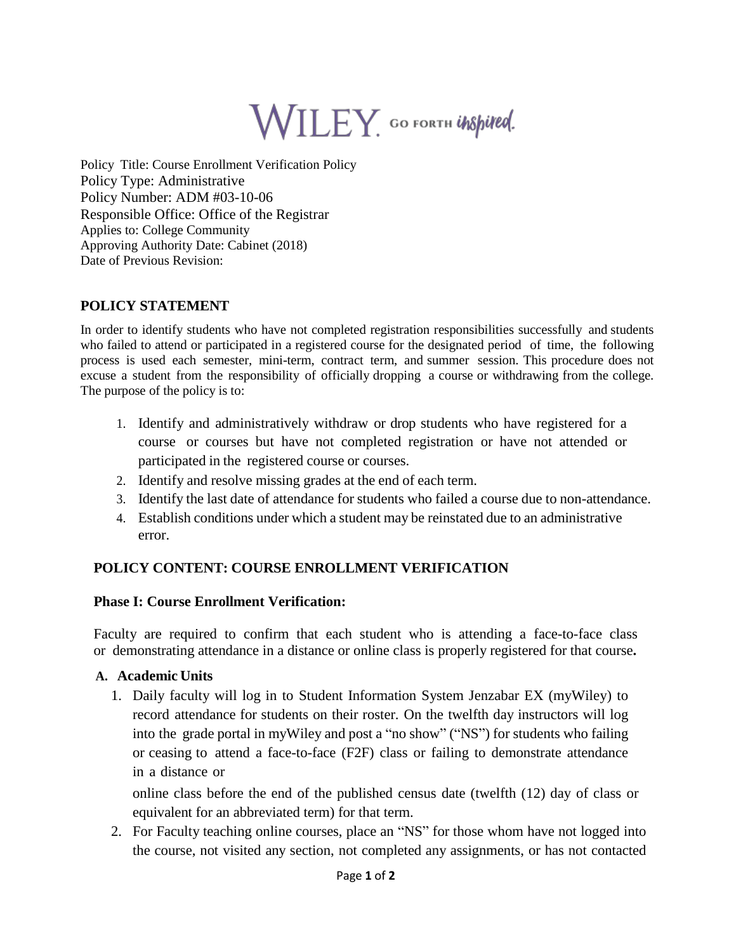# WILEY GO FORTH UNSpired.

Policy Title: Course Enrollment Verification Policy Policy Type: Administrative Policy Number: ADM #03-10-06 Responsible Office: Office of the Registrar Applies to: College Community Approving Authority Date: Cabinet (2018) Date of Previous Revision:

## **POLICY STATEMENT**

In order to identify students who have not completed registration responsibilities successfully and students who failed to attend or participated in a registered course for the designated period of time, the following process is used each semester, mini-term, contract term, and summer session. This procedure does not excuse a student from the responsibility of officially dropping a course or withdrawing from the college. The purpose of the policy is to:

- 1. Identify and administratively withdraw or drop students who have registered for a course or courses but have not completed registration or have not attended or participated in the registered course or courses.
- 2. Identify and resolve missing grades at the end of each term.
- 3. Identify the last date of attendance for students who failed a course due to non-attendance.
- 4. Establish conditions under which a student may be reinstated due to an administrative error.

## **POLICY CONTENT: COURSE ENROLLMENT VERIFICATION**

#### **Phase I: Course Enrollment Verification:**

Faculty are required to confirm that each student who is attending a face-to-face class or demonstrating attendance in a distance or online class is properly registered for that course**.**

#### **A. Academic Units**

1. Daily faculty will log in to Student Information System Jenzabar EX (myWiley) to record attendance for students on their roster. On the twelfth day instructors will log into the grade portal in myWiley and post a "no show" ("NS") for students who failing or ceasing to attend a face-to-face (F2F) class or failing to demonstrate attendance in a distance or

online class before the end of the published census date (twelfth (12) day of class or equivalent for an abbreviated term) for that term.

2. For Faculty teaching online courses, place an "NS" for those whom have not logged into the course, not visited any section, not completed any assignments, or has not contacted